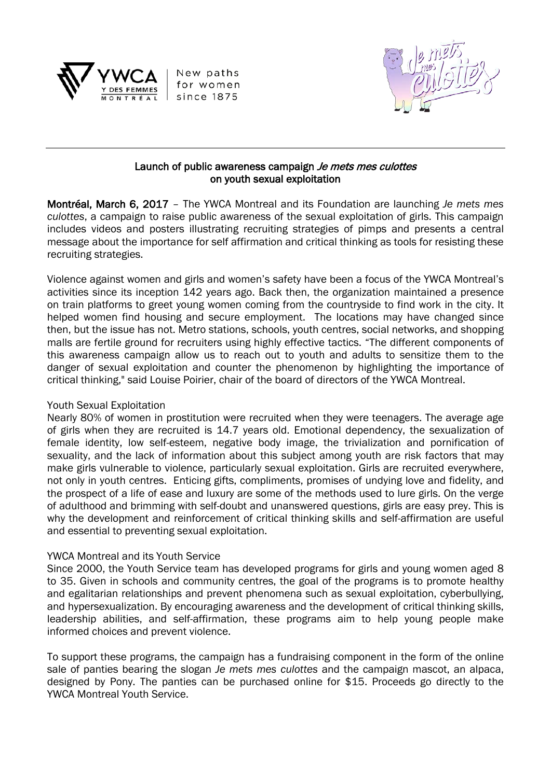

New paths for women since 1875



### Launch of public awareness campaign Je mets mes culottes on youth sexual exploitation

Montréal, March 6, 2017 – The YWCA Montreal and its Foundation are launching *Je mets mes culottes*, a campaign to raise public awareness of the sexual exploitation of girls. This campaign includes videos and posters illustrating recruiting strategies of pimps and presents a central message about the importance for self affirmation and critical thinking as tools for resisting these recruiting strategies.

Violence against women and girls and women's safety have been a focus of the YWCA Montreal's activities since its inception 142 years ago. Back then, the organization maintained a presence on train platforms to greet young women coming from the countryside to find work in the city. It helped women find housing and secure employment. The locations may have changed since then, but the issue has not. Metro stations, schools, youth centres, social networks, and shopping malls are fertile ground for recruiters using highly effective tactics. "The different components of this awareness campaign allow us to reach out to youth and adults to sensitize them to the danger of sexual exploitation and counter the phenomenon by highlighting the importance of critical thinking," said Louise Poirier, chair of the board of directors of the YWCA Montreal.

# Youth Sexual Exploitation

Nearly 80% of women in prostitution were recruited when they were teenagers. The average age of girls when they are recruited is 14.7 years old. Emotional dependency, the sexualization of female identity, low self-esteem, negative body image, the trivialization and pornification of sexuality, and the lack of information about this subject among youth are risk factors that may make girls vulnerable to violence, particularly sexual exploitation. Girls are recruited everywhere, not only in youth centres. Enticing gifts, compliments, promises of undying love and fidelity, and the prospect of a life of ease and luxury are some of the methods used to lure girls. On the verge of adulthood and brimming with self-doubt and unanswered questions, girls are easy prey. This is why the development and reinforcement of critical thinking skills and self-affirmation are useful and essential to preventing sexual exploitation.

# YWCA Montreal and its Youth Service

Since 2000, the Youth Service team has developed programs for girls and young women aged 8 to 35. Given in schools and community centres, the goal of the programs is to promote healthy and egalitarian relationships and prevent phenomena such as sexual exploitation, cyberbullying, and hypersexualization. By encouraging awareness and the development of critical thinking skills, leadership abilities, and self-affirmation, these programs aim to help young people make informed choices and prevent violence.

To support these programs, the campaign has a fundraising component in the form of the online sale of panties bearing the slogan *Je mets mes culottes* and the campaign mascot, an alpaca, designed by Pony. The panties can be purchased online for \$15. Proceeds go directly to the YWCA Montreal Youth Service.